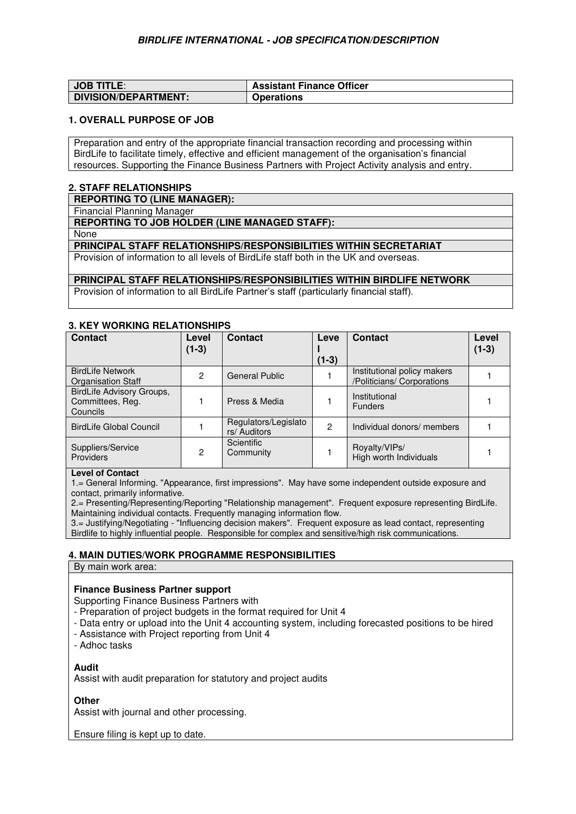| <b>JOB TITLE:</b>           | <b>Assistant Finance Officer</b> |
|-----------------------------|----------------------------------|
| <b>DIVISION/DEPARTMENT:</b> | <b>Operations</b>                |

## **1. OVERALL PURPOSE OF JOB**

Preparation and entry of the appropriate financial transaction recording and processing within BirdLife to facilitate timely, effective and efficient management of the organisation's financial resources. Supporting the Finance Business Partners with Project Activity analysis and entry.

# **2. STAFF RELATIONSHIPS**

**REPORTING TO (LINE MANAGER):**

Financial Planning Manager

**REPORTING TO JOB HOLDER (LINE MANAGED STAFF):** 

None

**PRINCIPAL STAFF RELATIONSHIPS/RESPONSIBILITIES WITHIN SECRETARIAT** 

Provision of information to all levels of BirdLife staff both in the UK and overseas.

#### **PRINCIPAL STAFF RELATIONSHIPS/RESPONSIBILITIES WITHIN BIRDLIFE NETWORK**

Provision of information to all BirdLife Partner's staff (particularly financial staff).

#### **3. KEY WORKING RELATIONSHIPS**

| <b>Contact</b>                                            | Level<br>$(1-3)$ | <b>Contact</b>                       | Leve    | <b>Contact</b>                                            | Level<br>$(1-3)$ |
|-----------------------------------------------------------|------------------|--------------------------------------|---------|-----------------------------------------------------------|------------------|
|                                                           |                  |                                      | $(1-3)$ |                                                           |                  |
| <b>BirdLife Network</b><br>Organisation Staff             | 2                | <b>General Public</b>                |         | Institutional policy makers<br>/Politicians/ Corporations |                  |
| BirdLife Advisory Groups,<br>Committees, Reg.<br>Councils |                  | Press & Media                        |         | Institutional<br><b>Funders</b>                           |                  |
| <b>BirdLife Global Council</b>                            |                  | Regulators/Legislato<br>rs/ Auditors | 2       | Individual donors/ members                                |                  |
| Suppliers/Service<br><b>Providers</b>                     | 2                | Scientific<br>Community              |         | Rovalty/VIPs/<br>High worth Individuals                   |                  |

# **Level of Contact**

1.= General Informing. "Appearance, first impressions". May have some independent outside exposure and contact, primarily informative.

2.= Presenting/Representing/Reporting "Relationship management". Frequent exposure representing BirdLife. Maintaining individual contacts. Frequently managing information flow.

3.= Justifying/Negotiating - "Influencing decision makers". Frequent exposure as lead contact, representing Birdlife to highly influential people. Responsible for complex and sensitive/high risk communications.

## **4. MAIN DUTIES/WORK PROGRAMME RESPONSIBILITIES**

By main work area:

## **Finance Business Partner support**

Supporting Finance Business Partners with

- Preparation of project budgets in the format required for Unit 4
- Data entry or upload into the Unit 4 accounting system, including forecasted positions to be hired
- Assistance with Project reporting from Unit 4

- Adhoc tasks

#### **Audit**

Assist with audit preparation for statutory and project audits

#### **Other**

Assist with journal and other processing.

Ensure filing is kept up to date.